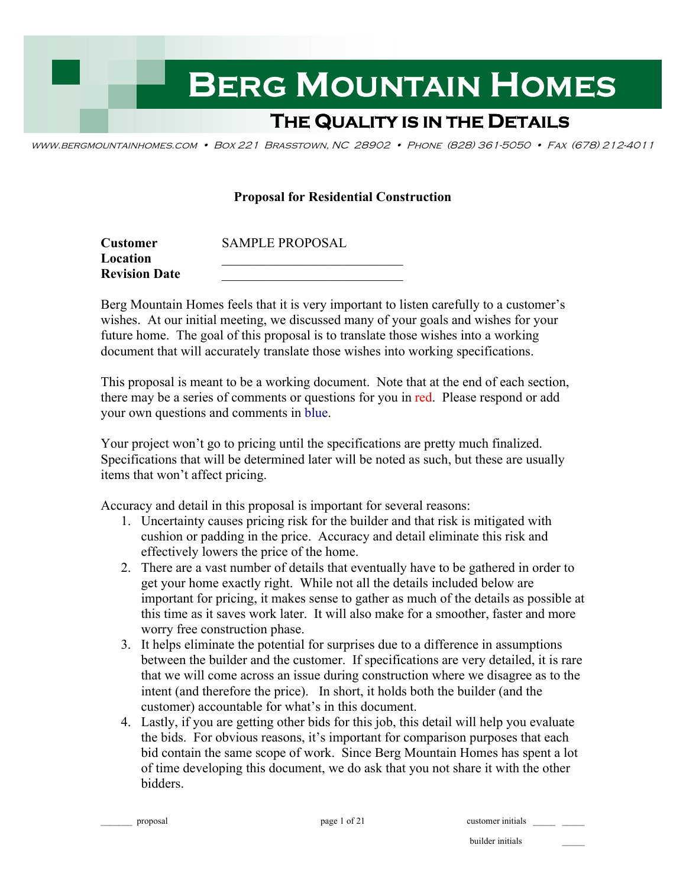

www.bergmountainhomes.com • Box 221 Brasstown, NC 28902 • Phone (828) 361-5050 • Fax (678) 212-4011

#### **Proposal for Residential Construction**

| <b>Customer</b>      | <b>SAMPLE PROPOSAL</b> |
|----------------------|------------------------|
| Location             |                        |
| <b>Revision Date</b> |                        |

Berg Mountain Homes feels that it is very important to listen carefully to a customer's wishes. At our initial meeting, we discussed many of your goals and wishes for your future home. The goal of this proposal is to translate those wishes into a working document that will accurately translate those wishes into working specifications.

This proposal is meant to be a working document. Note that at the end of each section, there may be a series of comments or questions for you in red. Please respond or add your own questions and comments in blue.

Your project won't go to pricing until the specifications are pretty much finalized. Specifications that will be determined later will be noted as such, but these are usually items that won't affect pricing.

Accuracy and detail in this proposal is important for several reasons:

- 1. Uncertainty causes pricing risk for the builder and that risk is mitigated with cushion or padding in the price. Accuracy and detail eliminate this risk and effectively lowers the price of the home.
- 2. There are a vast number of details that eventually have to be gathered in order to get your home exactly right. While not all the details included below are important for pricing, it makes sense to gather as much of the details as possible at this time as it saves work later. It will also make for a smoother, faster and more worry free construction phase.
- 3. It helps eliminate the potential for surprises due to a difference in assumptions between the builder and the customer. If specifications are very detailed, it is rare that we will come across an issue during construction where we disagree as to the intent (and therefore the price). In short, it holds both the builder (and the customer) accountable for what's in this document.
- 4. Lastly, if you are getting other bids for this job, this detail will help you evaluate the bids. For obvious reasons, it's important for comparison purposes that each bid contain the same scope of work. Since Berg Mountain Homes has spent a lot of time developing this document, we do ask that you not share it with the other bidders.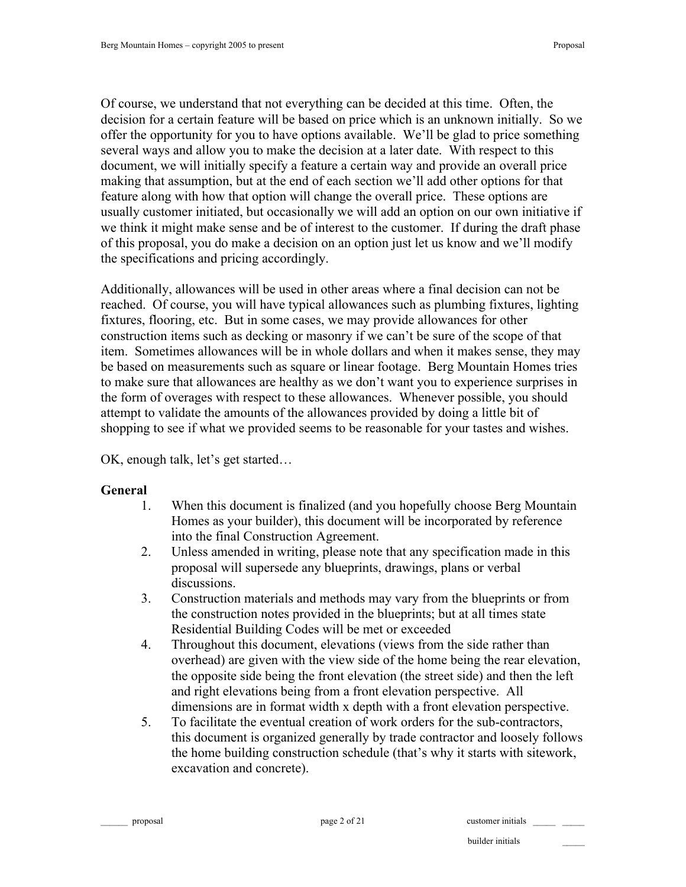Of course, we understand that not everything can be decided at this time. Often, the decision for a certain feature will be based on price which is an unknown initially. So we offer the opportunity for you to have options available. We'll be glad to price something several ways and allow you to make the decision at a later date. With respect to this document, we will initially specify a feature a certain way and provide an overall price making that assumption, but at the end of each section we'll add other options for that feature along with how that option will change the overall price. These options are usually customer initiated, but occasionally we will add an option on our own initiative if we think it might make sense and be of interest to the customer. If during the draft phase of this proposal, you do make a decision on an option just let us know and we'll modify the specifications and pricing accordingly.

Additionally, allowances will be used in other areas where a final decision can not be reached. Of course, you will have typical allowances such as plumbing fixtures, lighting fixtures, flooring, etc. But in some cases, we may provide allowances for other construction items such as decking or masonry if we can't be sure of the scope of that item. Sometimes allowances will be in whole dollars and when it makes sense, they may be based on measurements such as square or linear footage. Berg Mountain Homes tries to make sure that allowances are healthy as we don't want you to experience surprises in the form of overages with respect to these allowances. Whenever possible, you should attempt to validate the amounts of the allowances provided by doing a little bit of shopping to see if what we provided seems to be reasonable for your tastes and wishes.

OK, enough talk, let's get started…

#### **General**

- 1. When this document is finalized (and you hopefully choose Berg Mountain Homes as your builder), this document will be incorporated by reference into the final Construction Agreement.
- 2. Unless amended in writing, please note that any specification made in this proposal will supersede any blueprints, drawings, plans or verbal discussions.
- 3. Construction materials and methods may vary from the blueprints or from the construction notes provided in the blueprints; but at all times state Residential Building Codes will be met or exceeded
- 4. Throughout this document, elevations (views from the side rather than overhead) are given with the view side of the home being the rear elevation, the opposite side being the front elevation (the street side) and then the left and right elevations being from a front elevation perspective. All dimensions are in format width x depth with a front elevation perspective.
- 5. To facilitate the eventual creation of work orders for the sub-contractors, this document is organized generally by trade contractor and loosely follows the home building construction schedule (that's why it starts with sitework, excavation and concrete).

proposal proposal page 2 of 21 customer initials  $\Box$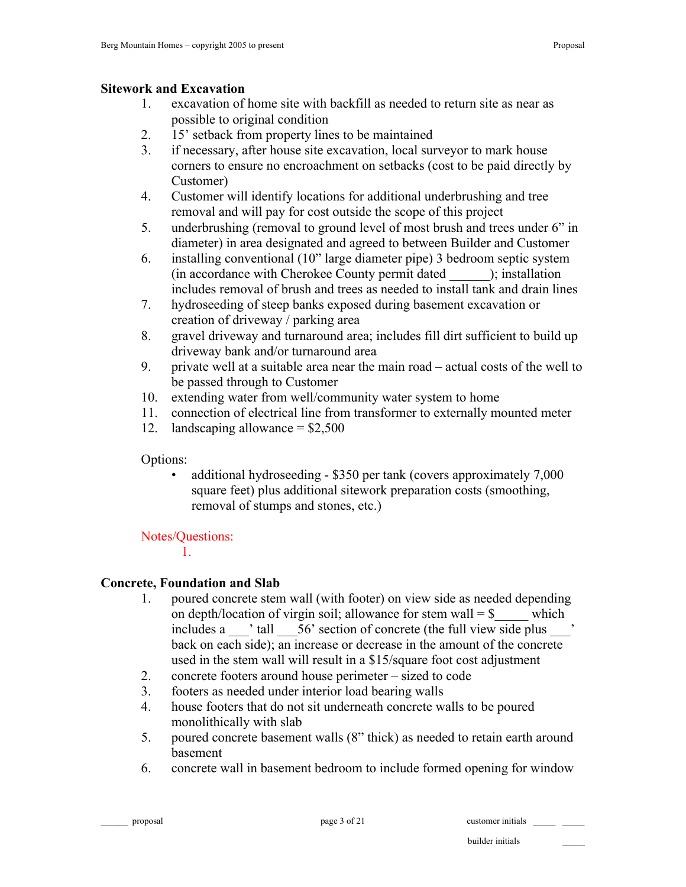### **Sitework and Excavation**

- 1. excavation of home site with backfill as needed to return site as near as possible to original condition
- 2. 15' setback from property lines to be maintained
- 3. if necessary, after house site excavation, local surveyor to mark house corners to ensure no encroachment on setbacks (cost to be paid directly by Customer)
- 4. Customer will identify locations for additional underbrushing and tree removal and will pay for cost outside the scope of this project
- 5. underbrushing (removal to ground level of most brush and trees under 6" in diameter) in area designated and agreed to between Builder and Customer
- 6. installing conventional (10" large diameter pipe) 3 bedroom septic system (in accordance with Cherokee County permit dated \_\_\_\_\_\_); installation includes removal of brush and trees as needed to install tank and drain lines
- 7. hydroseeding of steep banks exposed during basement excavation or creation of driveway / parking area
- 8. gravel driveway and turnaround area; includes fill dirt sufficient to build up driveway bank and/or turnaround area
- 9. private well at a suitable area near the main road actual costs of the well to be passed through to Customer
- 10. extending water from well/community water system to home
- 11. connection of electrical line from transformer to externally mounted meter
- 12. landscaping allowance  $=$  \$2,500

Options:

• additional hydroseeding - \$350 per tank (covers approximately 7,000 square feet) plus additional sitework preparation costs (smoothing, removal of stumps and stones, etc.)

# Notes/Questions:

1.

# **Concrete, Foundation and Slab**

- 1. poured concrete stem wall (with footer) on view side as needed depending on depth/location of virgin soil; allowance for stem wall  $=$  \$ which includes a  $\blacksquare$  ' tall  $\blacksquare$  56' section of concrete (the full view side plus  $\blacksquare$ back on each side); an increase or decrease in the amount of the concrete used in the stem wall will result in a \$15/square foot cost adjustment
- 2. concrete footers around house perimeter sized to code
- 3. footers as needed under interior load bearing walls
- 4. house footers that do not sit underneath concrete walls to be poured monolithically with slab
- 5. poured concrete basement walls (8" thick) as needed to retain earth around basement
- 6. concrete wall in basement bedroom to include formed opening for window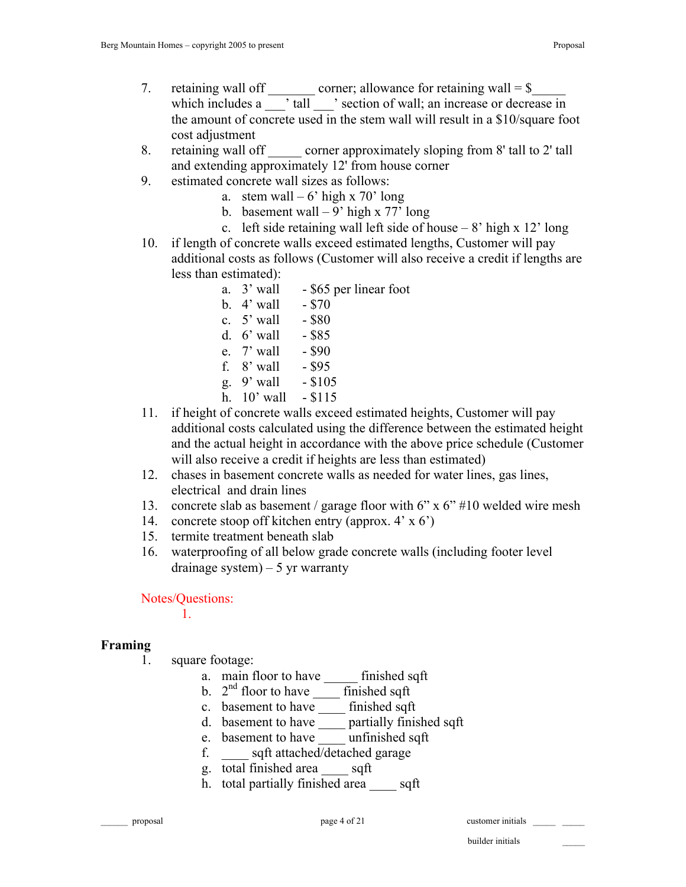- 7. retaining wall off corner; allowance for retaining wall  $=$  \$ which includes a case it all contact is section of wall; an increase or decrease in the amount of concrete used in the stem wall will result in a \$10/square foot cost adjustment
- 8. retaining wall off corner approximately sloping from 8' tall to 2' tall and extending approximately 12' from house corner
- 9. estimated concrete wall sizes as follows:
	- a. stem wall  $-6'$  high x 70' long
		- b. basement wall  $-9'$  high x 77' long
		- c. left side retaining wall left side of house  $-8'$  high x 12' long
- 10. if length of concrete walls exceed estimated lengths, Customer will pay additional costs as follows (Customer will also receive a credit if lengths are less than estimated):
	- a. 3' wall \$65 per linear foot
	- b.  $4'$  wall  $$70$
	- c.  $5'$  wall  $-$  \$80
	- d.  $6'$  wall  $-$  \$85
	- e. 7' wall \$90
	- f. 8' wall \$95
	- g.  $9'$  wall \$105
	- h. 10' wall \$115
- 11. if height of concrete walls exceed estimated heights, Customer will pay additional costs calculated using the difference between the estimated height and the actual height in accordance with the above price schedule (Customer will also receive a credit if heights are less than estimated)
- 12. chases in basement concrete walls as needed for water lines, gas lines, electrical and drain lines
- 13. concrete slab as basement / garage floor with 6" x 6" #10 welded wire mesh
- 14. concrete stoop off kitchen entry (approx. 4' x 6')
- 15. termite treatment beneath slab
- 16. waterproofing of all below grade concrete walls (including footer level drainage system)  $-5$  yr warranty

Notes/Questions:

1.

## **Framing**

- 1. square footage:
	- a. main floor to have \_\_\_\_\_ finished sqft
	- b. 2nd floor to have \_\_\_\_ finished sqft
	- c. basement to have \_\_\_\_\_\_ finished sqft
	- d. basement to have \_\_\_\_ partially finished sqft
	- e. basement to have \_\_\_\_ unfinished sqft
	- f. \_\_\_\_ sqft attached/detached garage
	- g. total finished area \_\_\_\_ sqft
	- h. total partially finished area sqft

proposal page 4 of 21 customer initials question of  $\frac{1}{2}$  customer initials  $\frac{1}{2}$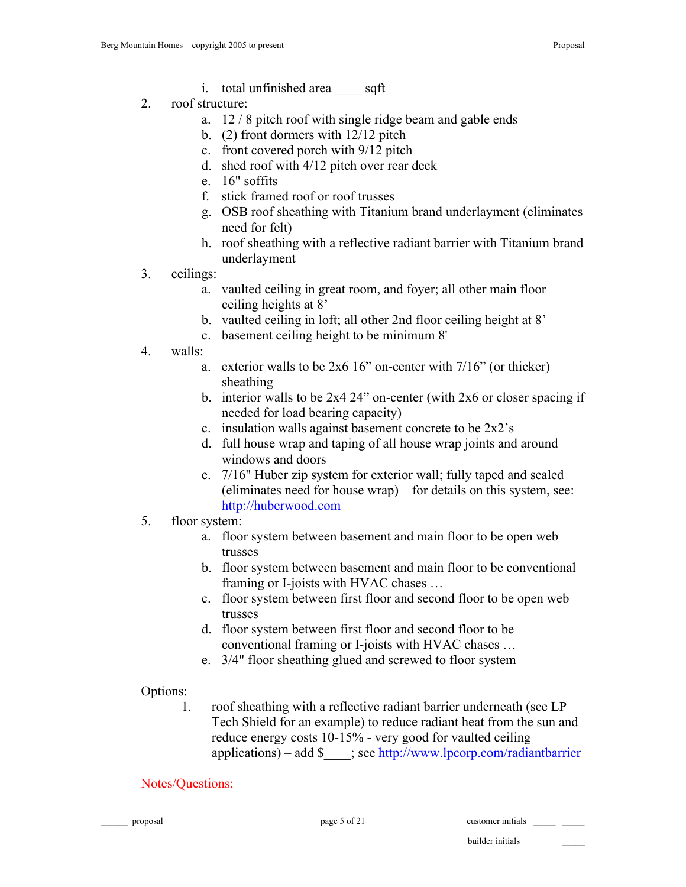- i. total unfinished area sqft
- 2. roof structure:
	- a. 12 / 8 pitch roof with single ridge beam and gable ends
	- b. (2) front dormers with 12/12 pitch
	- c. front covered porch with 9/12 pitch
	- d. shed roof with 4/12 pitch over rear deck
	- e. 16" soffits
	- f. stick framed roof or roof trusses
	- g. OSB roof sheathing with Titanium brand underlayment (eliminates need for felt)
	- h. roof sheathing with a reflective radiant barrier with Titanium brand underlayment
- 3. ceilings:
	- a. vaulted ceiling in great room, and foyer; all other main floor ceiling heights at 8'
	- b. vaulted ceiling in loft; all other 2nd floor ceiling height at 8'
	- c. basement ceiling height to be minimum 8'
- 4. walls:
	- a. exterior walls to be  $2x616$ " on-center with  $7/16$ " (or thicker) sheathing
	- b. interior walls to be  $2x4\,24$ " on-center (with  $2x6$  or closer spacing if needed for load bearing capacity)
	- c. insulation walls against basement concrete to be 2x2's
	- d. full house wrap and taping of all house wrap joints and around windows and doors
	- e. 7/16" Huber zip system for exterior wall; fully taped and sealed (eliminates need for house wrap) – for details on this system, see: http://huberwood.com
- 5. floor system:
	- a. floor system between basement and main floor to be open web trusses
	- b. floor system between basement and main floor to be conventional framing or I-joists with HVAC chases …
	- c. floor system between first floor and second floor to be open web trusses
	- d. floor system between first floor and second floor to be conventional framing or I-joists with HVAC chases …
	- e. 3/4" floor sheathing glued and screwed to floor system

## Options:

1. roof sheathing with a reflective radiant barrier underneath (see LP Tech Shield for an example) to reduce radiant heat from the sun and reduce energy costs 10-15% - very good for vaulted ceiling applications) – add  $\frac{\text{sgn} \cdot \text{st}}{\text{sgn} \cdot \text{st}}$  ; see http://www.lpcorp.com/radiantbarrier

## Notes/Questions:

proposal page 5 of 21 customer initials \_\_\_\_\_ \_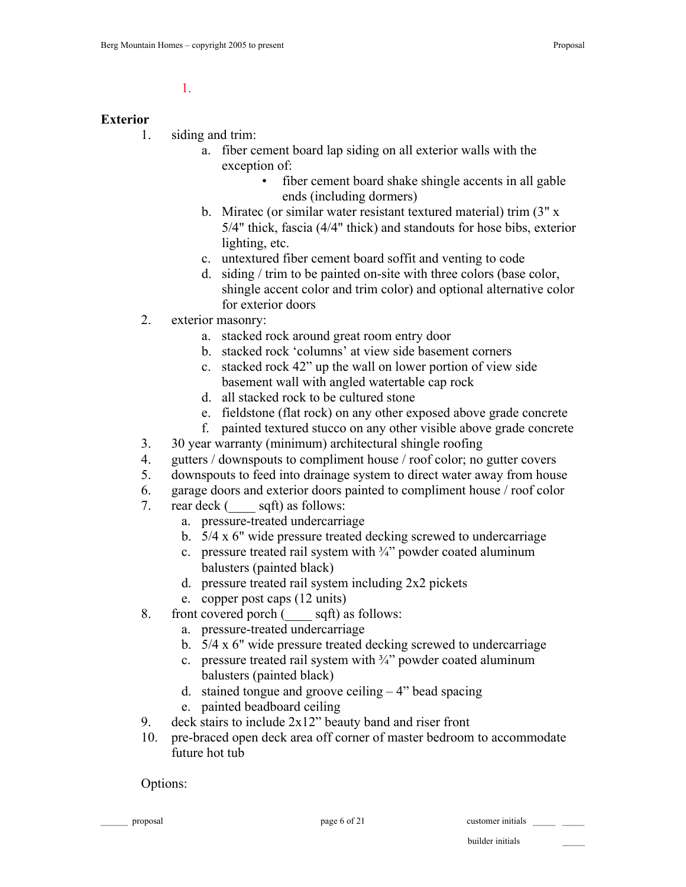1.

#### **Exterior**

- 1. siding and trim:
	- a. fiber cement board lap siding on all exterior walls with the exception of:
		- fiber cement board shake shingle accents in all gable ends (including dormers)
	- b. Miratec (or similar water resistant textured material) trim (3" x 5/4" thick, fascia (4/4" thick) and standouts for hose bibs, exterior lighting, etc.
	- c. untextured fiber cement board soffit and venting to code
	- d. siding / trim to be painted on-site with three colors (base color, shingle accent color and trim color) and optional alternative color for exterior doors
- 2. exterior masonry:
	- a. stacked rock around great room entry door
	- b. stacked rock 'columns' at view side basement corners
	- c. stacked rock 42" up the wall on lower portion of view side basement wall with angled watertable cap rock
	- d. all stacked rock to be cultured stone
	- e. fieldstone (flat rock) on any other exposed above grade concrete
	- f. painted textured stucco on any other visible above grade concrete
- 3. 30 year warranty (minimum) architectural shingle roofing
- 4. gutters / downspouts to compliment house / roof color; no gutter covers
- 5. downspouts to feed into drainage system to direct water away from house
- 6. garage doors and exterior doors painted to compliment house / roof color
- 7. rear deck ( \_\_\_\_ sqft) as follows:
	- a. pressure-treated undercarriage
	- b. 5/4 x 6" wide pressure treated decking screwed to undercarriage
	- c. pressure treated rail system with  $\frac{3}{4}$  powder coated aluminum balusters (painted black)
	- d. pressure treated rail system including 2x2 pickets
	- e. copper post caps (12 units)
- 8. front covered porch (sep sqft) as follows:
	- a. pressure-treated undercarriage
	- b. 5/4 x 6" wide pressure treated decking screwed to undercarriage
	- c. pressure treated rail system with  $\frac{3}{4}$  powder coated aluminum balusters (painted black)
	- d. stained tongue and groove ceiling  $-4$ " bead spacing
	- e. painted beadboard ceiling
- 9. deck stairs to include 2x12" beauty band and riser front
- 10. pre-braced open deck area off corner of master bedroom to accommodate future hot tub

Options:

proposal page 6 of 21 customer initials \_\_\_\_\_ \_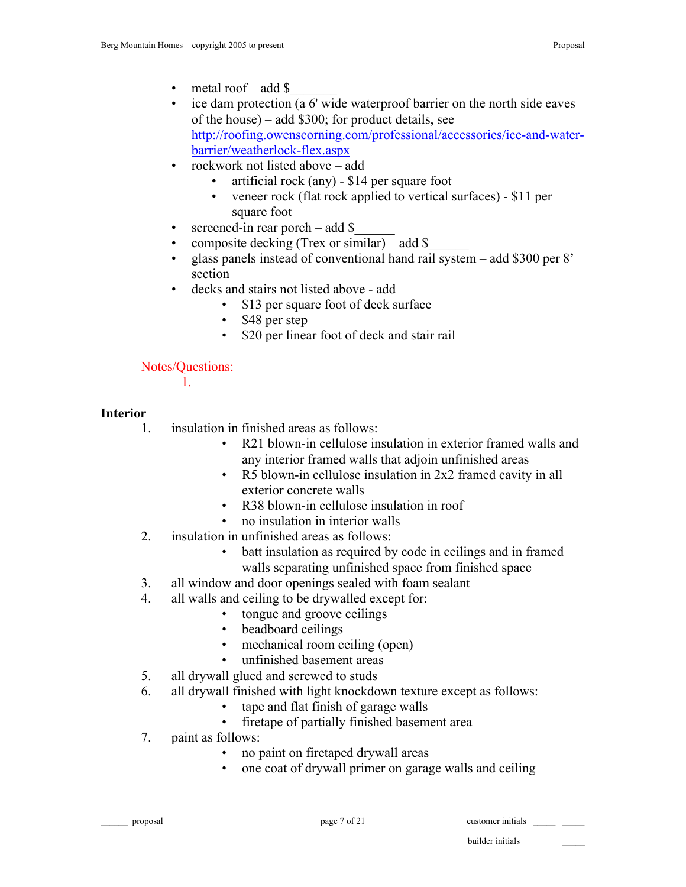- metal roof add \$
- ice dam protection (a 6' wide waterproof barrier on the north side eaves of the house) – add \$300; for product details, see http://roofing.owenscorning.com/professional/accessories/ice-and-waterbarrier/weatherlock-flex.aspx
- rockwork not listed above add
	- artificial rock (any) \$14 per square foot
	- veneer rock (flat rock applied to vertical surfaces) \$11 per square foot
- screened-in rear porch add  $\$
- composite decking (Trex or similar) add  $\$$
- glass panels instead of conventional hand rail system add \$300 per 8' section
- decks and stairs not listed above add
	- \$13 per square foot of deck surface
	- \$48 per step
	- \$20 per linear foot of deck and stair rail

Notes/Questions:

1.

## **Interior**

- 1. insulation in finished areas as follows:
	- R21 blown-in cellulose insulation in exterior framed walls and any interior framed walls that adjoin unfinished areas
	- R5 blown-in cellulose insulation in 2x2 framed cavity in all exterior concrete walls
	- R38 blown-in cellulose insulation in roof
	- no insulation in interior walls
- 2. insulation in unfinished areas as follows:
	- batt insulation as required by code in ceilings and in framed walls separating unfinished space from finished space
- 3. all window and door openings sealed with foam sealant
- 4. all walls and ceiling to be drywalled except for:
	- tongue and groove ceilings
	- beadboard ceilings
	- mechanical room ceiling (open)
	- unfinished basement areas
- 5. all drywall glued and screwed to studs
- 6. all drywall finished with light knockdown texture except as follows:
	- tape and flat finish of garage walls
	- firetape of partially finished basement area
- 7. paint as follows:
	- no paint on firetaped drywall areas
		- one coat of drywall primer on garage walls and ceiling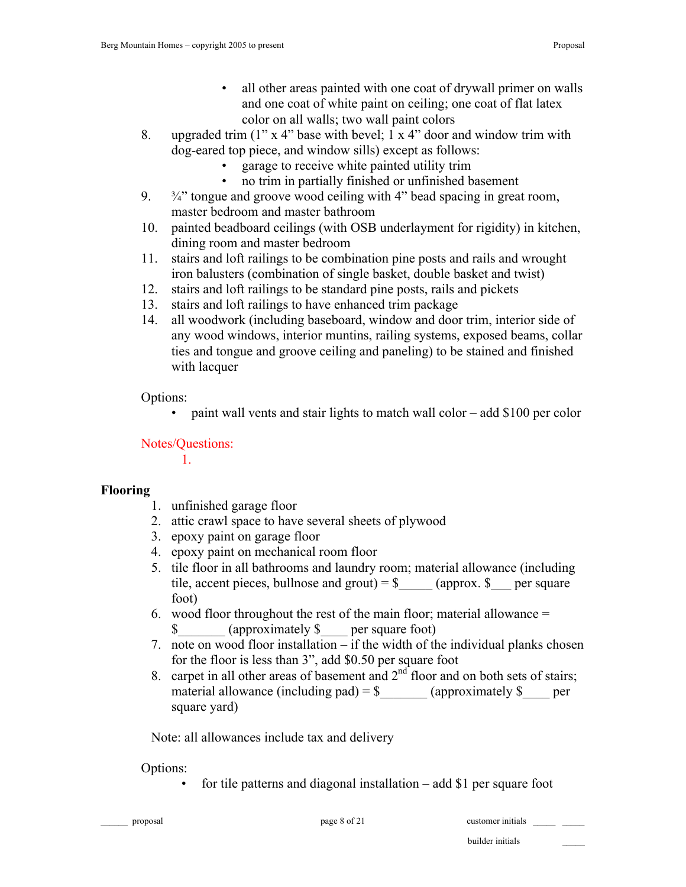- all other areas painted with one coat of drywall primer on walls and one coat of white paint on ceiling; one coat of flat latex color on all walls; two wall paint colors
- 8. upgraded trim  $(1'' \times 4'')$  base with bevel; 1 x 4" door and window trim with dog-eared top piece, and window sills) except as follows:
	- garage to receive white painted utility trim
	- no trim in partially finished or unfinished basement
- 9.  $\frac{3}{4}$  tongue and groove wood ceiling with 4" bead spacing in great room, master bedroom and master bathroom
- 10. painted beadboard ceilings (with OSB underlayment for rigidity) in kitchen, dining room and master bedroom
- 11. stairs and loft railings to be combination pine posts and rails and wrought iron balusters (combination of single basket, double basket and twist)
- 12. stairs and loft railings to be standard pine posts, rails and pickets
- 13. stairs and loft railings to have enhanced trim package
- 14. all woodwork (including baseboard, window and door trim, interior side of any wood windows, interior muntins, railing systems, exposed beams, collar ties and tongue and groove ceiling and paneling) to be stained and finished with lacquer

Options:

• paint wall vents and stair lights to match wall color – add \$100 per color

Notes/Questions:

1.

# **Flooring**

- 1. unfinished garage floor
- 2. attic crawl space to have several sheets of plywood
- 3. epoxy paint on garage floor
- 4. epoxy paint on mechanical room floor
- 5. tile floor in all bathrooms and laundry room; material allowance (including tile, accent pieces, bullnose and grout) =  $\frac{1}{2}$  (approx.  $\frac{1}{2}$  per square foot)
- 6. wood floor throughout the rest of the main floor; material allowance = \$ (approximately \$ per square foot)
- 7. note on wood floor installation if the width of the individual planks chosen for the floor is less than 3", add \$0.50 per square foot
- 8. carpet in all other areas of basement and  $2<sup>nd</sup>$  floor and on both sets of stairs; material allowance (including pad) =  $\frac{1}{2}$  (approximately  $\frac{1}{2}$  per square yard)

Note: all allowances include tax and delivery

# Options:

• for tile patterns and diagonal installation – add \$1 per square foot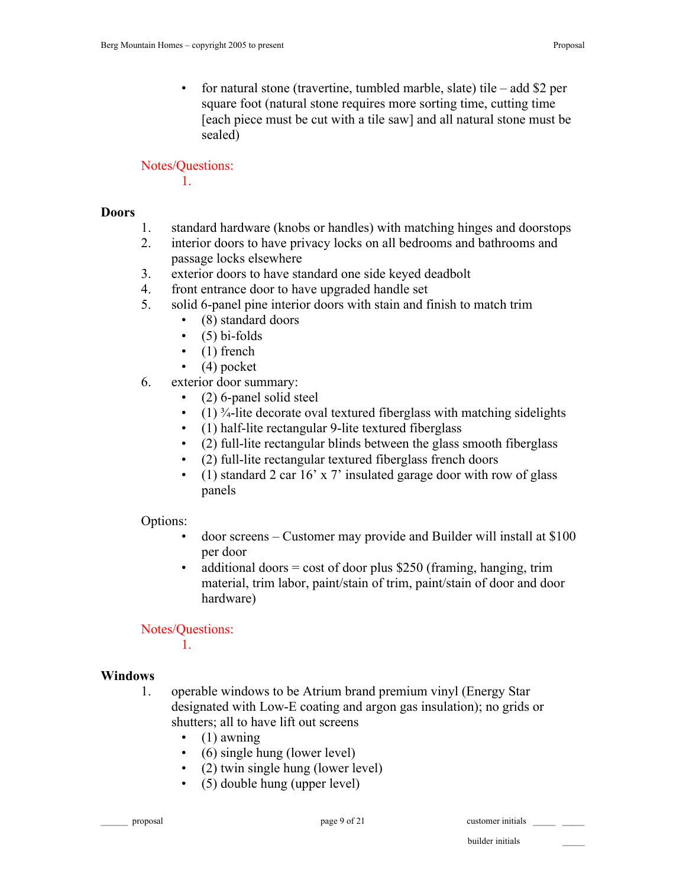• for natural stone (travertine, tumbled marble, slate) tile – add \$2 per square foot (natural stone requires more sorting time, cutting time [each piece must be cut with a tile saw] and all natural stone must be sealed)

Notes/Questions:

1.

#### **Doors**

- 1. standard hardware (knobs or handles) with matching hinges and doorstops
- 2. interior doors to have privacy locks on all bedrooms and bathrooms and passage locks elsewhere
- 3. exterior doors to have standard one side keyed deadbolt
- 4. front entrance door to have upgraded handle set
- 5. solid 6-panel pine interior doors with stain and finish to match trim
	- (8) standard doors
	- $\cdot$  (5) bi-folds
	- $\bullet$  (1) french
	- $\bullet$  (4) pocket
- 6. exterior door summary:
	- (2) 6-panel solid steel
	- $(1)$ <sup>3</sup>/<sub>4</sub>-lite decorate oval textured fiberglass with matching sidelights
	- (1) half-lite rectangular 9-lite textured fiberglass
	- (2) full-lite rectangular blinds between the glass smooth fiberglass
	- (2) full-lite rectangular textured fiberglass french doors
	- (1) standard 2 car  $16'$  x 7' insulated garage door with row of glass panels

#### Options:

- door screens Customer may provide and Builder will install at \$100 per door
- additional doors  $=$  cost of door plus \$250 (framing, hanging, trim material, trim labor, paint/stain of trim, paint/stain of door and door hardware)

#### Notes/Questions:

1.

#### **Windows**

- 1. operable windows to be Atrium brand premium vinyl (Energy Star designated with Low-E coating and argon gas insulation); no grids or shutters; all to have lift out screens
	- $\bullet$  (1) awning
	- (6) single hung (lower level)
	- (2) twin single hung (lower level)
	- (5) double hung (upper level)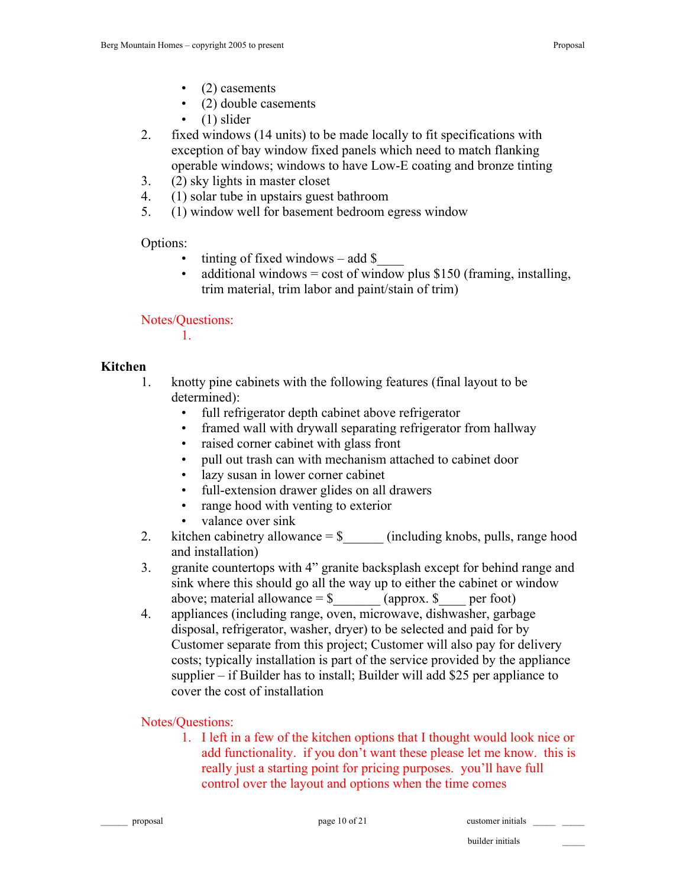- (2) casements
- (2) double casements
- $\bullet$  (1) slider
- 2. fixed windows (14 units) to be made locally to fit specifications with exception of bay window fixed panels which need to match flanking operable windows; windows to have Low-E coating and bronze tinting
- 3. (2) sky lights in master closet
- 4. (1) solar tube in upstairs guest bathroom
- 5. (1) window well for basement bedroom egress window

Options:

- tinting of fixed windows add  $\$$
- additional windows = cost of window plus  $$150$  (framing, installing, trim material, trim labor and paint/stain of trim)

Notes/Questions:

1.

#### **Kitchen**

- 1. knotty pine cabinets with the following features (final layout to be determined):
	- full refrigerator depth cabinet above refrigerator
	- framed wall with drywall separating refrigerator from hallway
	- raised corner cabinet with glass front
	- pull out trash can with mechanism attached to cabinet door
	- lazy susan in lower corner cabinet
	- full-extension drawer glides on all drawers
	- range hood with venting to exterior
	- valance over sink
- 2. kitchen cabinetry allowance  $=$  \$  $\qquad$  (including knobs, pulls, range hood and installation)
- 3. granite countertops with 4" granite backsplash except for behind range and sink where this should go all the way up to either the cabinet or window above; material allowance  $=$  \$ \_\_\_\_\_\_\_\_\_ (approx. \$ \_\_\_\_\_ per foot)
- 4. appliances (including range, oven, microwave, dishwasher, garbage disposal, refrigerator, washer, dryer) to be selected and paid for by Customer separate from this project; Customer will also pay for delivery costs; typically installation is part of the service provided by the appliance supplier – if Builder has to install; Builder will add \$25 per appliance to cover the cost of installation

Notes/Questions:

1. I left in a few of the kitchen options that I thought would look nice or add functionality. if you don't want these please let me know. this is really just a starting point for pricing purposes. you'll have full control over the layout and options when the time comes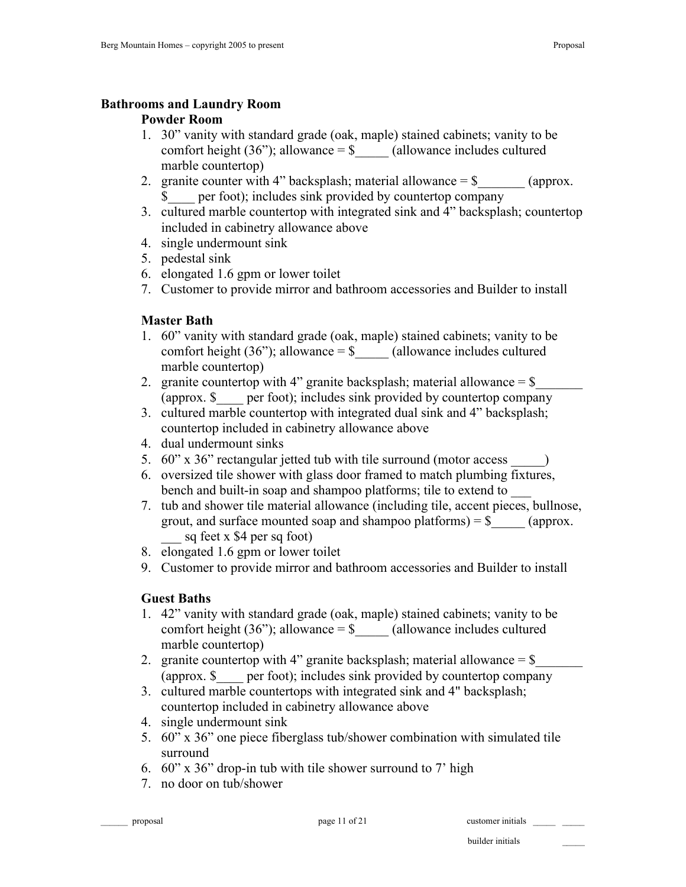#### **Bathrooms and Laundry Room**

### **Powder Room**

- 1. 30" vanity with standard grade (oak, maple) stained cabinets; vanity to be comfort height  $(36)$ ; allowance = \$ (allowance includes cultured marble countertop)
- 2. granite counter with 4" backsplash; material allowance  $=$  \$  $\qquad \qquad$  (approx. \$\_\_\_\_ per foot); includes sink provided by countertop company
- 3. cultured marble countertop with integrated sink and 4" backsplash; countertop included in cabinetry allowance above
- 4. single undermount sink
- 5. pedestal sink
- 6. elongated 1.6 gpm or lower toilet
- 7. Customer to provide mirror and bathroom accessories and Builder to install

## **Master Bath**

- 1. 60" vanity with standard grade (oak, maple) stained cabinets; vanity to be comfort height (36"); allowance  $=$  \$  $\qquad$  (allowance includes cultured marble countertop)
- 2. granite countertop with 4" granite backsplash; material allowance  $=$  \$ (approx. \$\_\_\_\_ per foot); includes sink provided by countertop company
- 3. cultured marble countertop with integrated dual sink and 4" backsplash; countertop included in cabinetry allowance above
- 4. dual undermount sinks
- 5. 60" x 36" rectangular jetted tub with tile surround (motor access \_\_\_\_\_)
- 6. oversized tile shower with glass door framed to match plumbing fixtures, bench and built-in soap and shampoo platforms; tile to extend to \_\_\_
- 7. tub and shower tile material allowance (including tile, accent pieces, bullnose, grout, and surface mounted soap and shampoo platforms)  $=$  \$  $\qquad \qquad$  (approx. sq feet x  $$4$  per sq foot)
- 8. elongated 1.6 gpm or lower toilet
- 9. Customer to provide mirror and bathroom accessories and Builder to install

# **Guest Baths**

- 1. 42" vanity with standard grade (oak, maple) stained cabinets; vanity to be comfort height  $(36)$ ; allowance = \$ (allowance includes cultured marble countertop)
- 2. granite countertop with 4" granite backsplash; material allowance  $=$  \$ (approx. \$\_\_\_\_ per foot); includes sink provided by countertop company
- 3. cultured marble countertops with integrated sink and 4" backsplash; countertop included in cabinetry allowance above
- 4. single undermount sink
- 5. 60" x 36" one piece fiberglass tub/shower combination with simulated tile surround
- 6. 60" x 36" drop-in tub with tile shower surround to 7' high
- 7. no door on tub/shower

page 11 of 21 customer initials customer initials \_\_\_\_\_\_\_\_\_ \_\_\_\_\_\_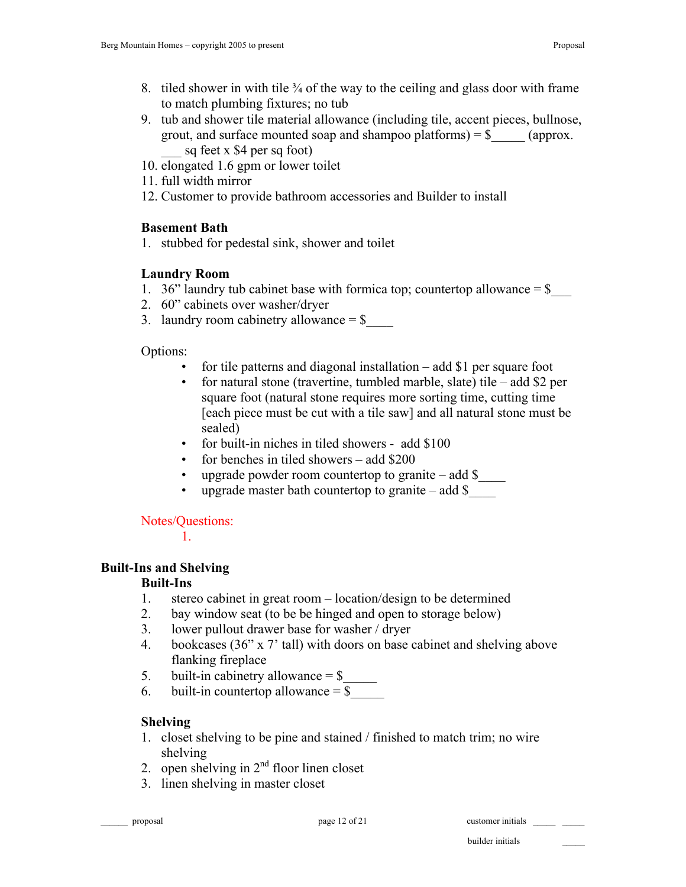- 8. tiled shower in with tile  $\frac{3}{4}$  of the way to the ceiling and glass door with frame to match plumbing fixtures; no tub
- 9. tub and shower tile material allowance (including tile, accent pieces, bullnose, grout, and surface mounted soap and shampoo platforms) =  $\frac{1}{2}$  (approx. sq feet x  $$4$  per sq foot)
- 10. elongated 1.6 gpm or lower toilet
- 11. full width mirror
- 12. Customer to provide bathroom accessories and Builder to install

## **Basement Bath**

1. stubbed for pedestal sink, shower and toilet

# **Laundry Room**

- 1. 36" laundry tub cabinet base with formica top; countertop allowance  $=$  \$
- 2. 60" cabinets over washer/dryer
- 3. laundry room cabinetry allowance  $=$  \$

Options:

- for tile patterns and diagonal installation  $-$  add \$1 per square foot
- for natural stone (travertine, tumbled marble, slate) tile add \$2 per square foot (natural stone requires more sorting time, cutting time [each piece must be cut with a tile saw] and all natural stone must be sealed)
- for built-in niches in tiled showers add \$100
- for benches in tiled showers add  $$200$
- upgrade powder room countertop to granite add  $\$$
- upgrade master bath countertop to granite add  $\$$

Notes/Questions:

1.

# **Built-Ins and Shelving**

## **Built-Ins**

- 1. stereo cabinet in great room location/design to be determined
- 2. bay window seat (to be be hinged and open to storage below)
- 3. lower pullout drawer base for washer / dryer
- 4. bookcases (36" x 7' tall) with doors on base cabinet and shelving above flanking fireplace
- 5. built-in cabinetry allowance  $=$  \$ $\frac{1}{\sqrt{2\pi}}$
- 6. built-in countertop allowance  $=$  \$

# **Shelving**

- 1. closet shelving to be pine and stained / finished to match trim; no wire shelving
- 2. open shelving in  $2<sup>nd</sup>$  floor linen closet
- 3. linen shelving in master closet

builder initials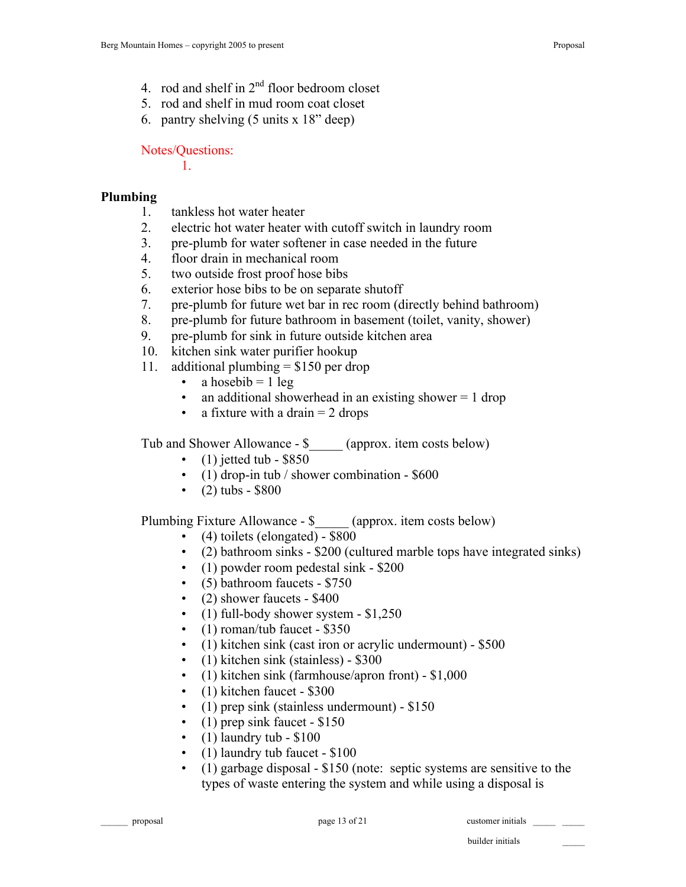- 4. rod and shelf in  $2<sup>nd</sup>$  floor bedroom closet
- 5. rod and shelf in mud room coat closet
- 6. pantry shelving (5 units x 18" deep)

Notes/Questions:

1.

#### **Plumbing**

- 1. tankless hot water heater
- 2. electric hot water heater with cutoff switch in laundry room
- 3. pre-plumb for water softener in case needed in the future
- 4. floor drain in mechanical room
- 5. two outside frost proof hose bibs
- 6. exterior hose bibs to be on separate shutoff
- 7. pre-plumb for future wet bar in rec room (directly behind bathroom)
- 8. pre-plumb for future bathroom in basement (toilet, vanity, shower)
- 9. pre-plumb for sink in future outside kitchen area
- 10. kitchen sink water purifier hookup
- 11. additional plumbing  $= $150$  per drop
	- a hosebib  $= 1$  leg
	- an additional showerhead in an existing shower  $= 1$  drop
	- a fixture with a drain  $= 2$  drops

Tub and Shower Allowance - \$ (approx. item costs below)

- $(1)$  jetted tub \$850
- (1) drop-in tub / shower combination \$600
- $(2)$  tubs \$800

Plumbing Fixture Allowance - \$  $\qquad \qquad$  (approx. item costs below)

- (4) toilets (elongated) \$800
- (2) bathroom sinks \$200 (cultured marble tops have integrated sinks)
- (1) powder room pedestal sink \$200
- (5) bathroom faucets \$750
- (2) shower faucets \$400
- $(1)$  full-body shower system  $$1,250$
- $(1)$  roman/tub faucet \$350
- (1) kitchen sink (cast iron or acrylic undermount) \$500
- (1) kitchen sink (stainless) \$300
- (1) kitchen sink (farmhouse/apron front) \$1,000
- (1) kitchen faucet \$300
- (1) prep sink (stainless undermount) \$150
- (1) prep sink faucet  $-$  \$150
- $(1)$  laundry tub \$100
- (1) laundry tub faucet \$100
- (1) garbage disposal \$150 (note: septic systems are sensitive to the types of waste entering the system and while using a disposal is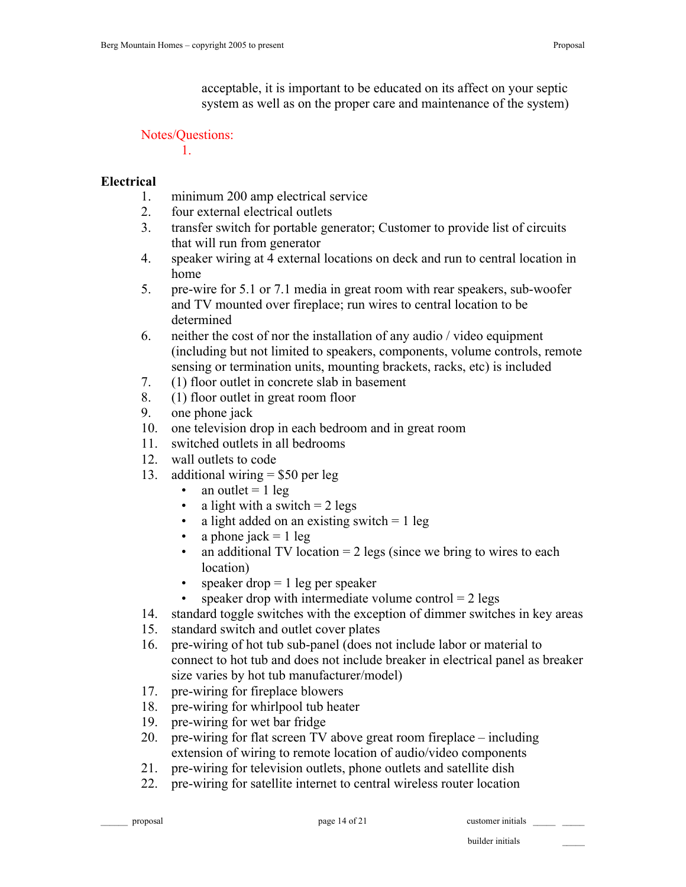acceptable, it is important to be educated on its affect on your septic system as well as on the proper care and maintenance of the system)

### Notes/Questions:

1.

## **Electrical**

- 1. minimum 200 amp electrical service
- 2. four external electrical outlets
- 3. transfer switch for portable generator; Customer to provide list of circuits that will run from generator
- 4. speaker wiring at 4 external locations on deck and run to central location in home
- 5. pre-wire for 5.1 or 7.1 media in great room with rear speakers, sub-woofer and TV mounted over fireplace; run wires to central location to be determined
- 6. neither the cost of nor the installation of any audio / video equipment (including but not limited to speakers, components, volume controls, remote sensing or termination units, mounting brackets, racks, etc) is included
- 7. (1) floor outlet in concrete slab in basement
- 8. (1) floor outlet in great room floor
- 9. one phone jack
- 10. one television drop in each bedroom and in great room
- 11. switched outlets in all bedrooms
- 12. wall outlets to code
- 13. additional wiring = \$50 per leg
	- an outlet  $= 1$  leg
	- a light with a switch  $= 2 \text{ legs}$
	- a light added on an existing switch  $= 1$  leg
	- a phone jack  $= 1$  leg
	- an additional TV location  $= 2$  legs (since we bring to wires to each location)
	- speaker drop  $= 1$  leg per speaker
	- speaker drop with intermediate volume control  $= 2$  legs
- 14. standard toggle switches with the exception of dimmer switches in key areas
- 15. standard switch and outlet cover plates
- 16. pre-wiring of hot tub sub-panel (does not include labor or material to connect to hot tub and does not include breaker in electrical panel as breaker size varies by hot tub manufacturer/model)
- 17. pre-wiring for fireplace blowers
- 18. pre-wiring for whirlpool tub heater
- 19. pre-wiring for wet bar fridge
- 20. pre-wiring for flat screen TV above great room fireplace including extension of wiring to remote location of audio/video components
- 21. pre-wiring for television outlets, phone outlets and satellite dish
- 22. pre-wiring for satellite internet to central wireless router location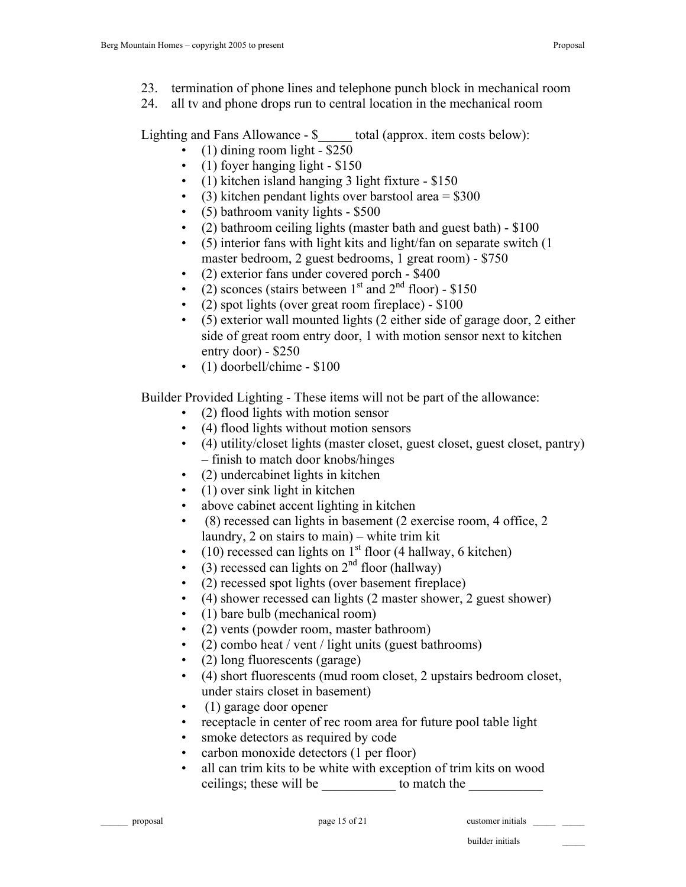- 23. termination of phone lines and telephone punch block in mechanical room
- 24. all tv and phone drops run to central location in the mechanical room

Lighting and Fans Allowance - \$  $\qquad$  total (approx. item costs below):

- $(1)$  dining room light \$250
- (1) foyer hanging light \$150
- (1) kitchen island hanging 3 light fixture \$150
- (3) kitchen pendant lights over barstool area  $= $300$
- (5) bathroom vanity lights \$500
- $(2)$  bathroom ceiling lights (master bath and guest bath) \$100
- $(5)$  interior fans with light kits and light/fan on separate switch  $(1)$ master bedroom, 2 guest bedrooms, 1 great room) - \$750
- (2) exterior fans under covered porch \$400
- (2) sconces (stairs between  $1<sup>st</sup>$  and  $2<sup>nd</sup>$  floor) \$150
- (2) spot lights (over great room fireplace) \$100
- (5) exterior wall mounted lights (2 either side of garage door, 2 either side of great room entry door, 1 with motion sensor next to kitchen entry door) - \$250
- (1) doorbell/chime \$100

Builder Provided Lighting - These items will not be part of the allowance:

- (2) flood lights with motion sensor
- (4) flood lights without motion sensors
- (4) utility/closet lights (master closet, guest closet, guest closet, pantry) – finish to match door knobs/hinges
- (2) undercabinet lights in kitchen
- (1) over sink light in kitchen
- above cabinet accent lighting in kitchen
- (8) recessed can lights in basement (2 exercise room, 4 office, 2 laundry, 2 on stairs to main) – white trim kit
- (10) recessed can lights on  $1<sup>st</sup>$  floor (4 hallway, 6 kitchen)
- $(3)$  recessed can lights on  $2<sup>nd</sup>$  floor (hallway)
- (2) recessed spot lights (over basement fireplace)
- (4) shower recessed can lights (2 master shower, 2 guest shower)
- (1) bare bulb (mechanical room)
- (2) vents (powder room, master bathroom)
- (2) combo heat / vent / light units (guest bathrooms)
- (2) long fluorescents (garage)
- (4) short fluorescents (mud room closet, 2 upstairs bedroom closet, under stairs closet in basement)
- (1) garage door opener
- receptacle in center of rec room area for future pool table light
- smoke detectors as required by code
- carbon monoxide detectors (1 per floor)
- all can trim kits to be white with exception of trim kits on wood ceilings; these will be to match the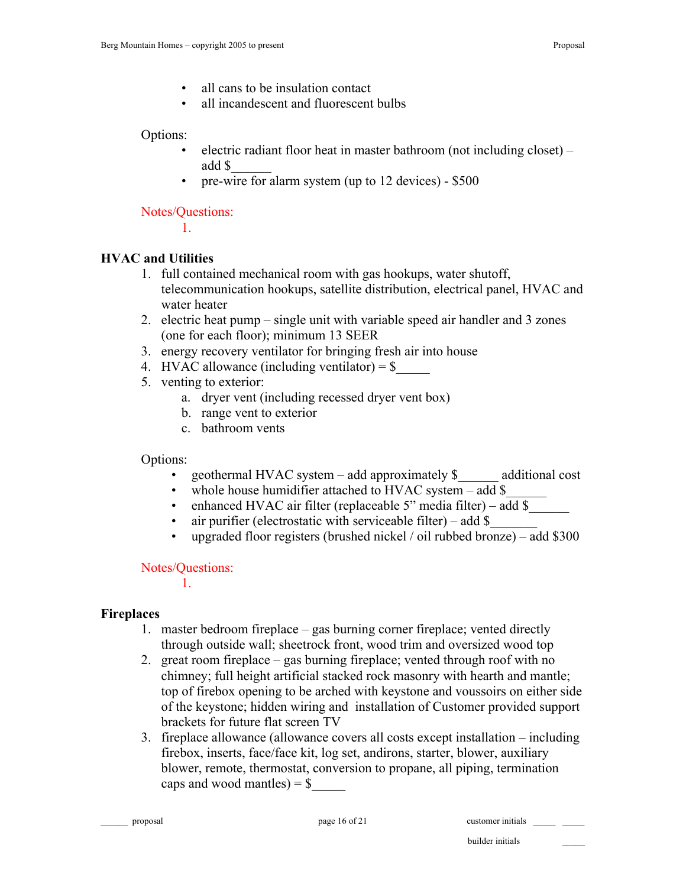- all cans to be insulation contact
- all incandescent and fluorescent bulbs

### Options:

- electric radiant floor heat in master bathroom (not including closet) add \$\_\_\_\_\_\_
- pre-wire for alarm system (up to 12 devices) \$500

Notes/Questions:

1.

# **HVAC and Utilities**

- 1. full contained mechanical room with gas hookups, water shutoff, telecommunication hookups, satellite distribution, electrical panel, HVAC and water heater
- 2. electric heat pump single unit with variable speed air handler and 3 zones (one for each floor); minimum 13 SEER
- 3. energy recovery ventilator for bringing fresh air into house
- 4. HVAC allowance (including ventilator) =  $\frac{1}{2}$
- 5. venting to exterior:
	- a. dryer vent (including recessed dryer vent box)
	- b. range vent to exterior
	- c. bathroom vents

# Options:

- geothermal HVAC system add approximately  $\frac{1}{2}$  additional cost
- whole house humidifier attached to HVAC system add \$
- enhanced HVAC air filter (replaceable 5" media filter) add \$
- air purifier (electrostatic with serviceable filter) add  $\$$
- upgraded floor registers (brushed nickel / oil rubbed bronze) add \$300

## Notes/Questions:

1.

## **Fireplaces**

- 1. master bedroom fireplace gas burning corner fireplace; vented directly through outside wall; sheetrock front, wood trim and oversized wood top
- 2. great room fireplace gas burning fireplace; vented through roof with no chimney; full height artificial stacked rock masonry with hearth and mantle; top of firebox opening to be arched with keystone and voussoirs on either side of the keystone; hidden wiring and installation of Customer provided support brackets for future flat screen TV
- 3. fireplace allowance (allowance covers all costs except installation including firebox, inserts, face/face kit, log set, andirons, starter, blower, auxiliary blower, remote, thermostat, conversion to propane, all piping, termination caps and wood mantles) =  $\frac{1}{5}$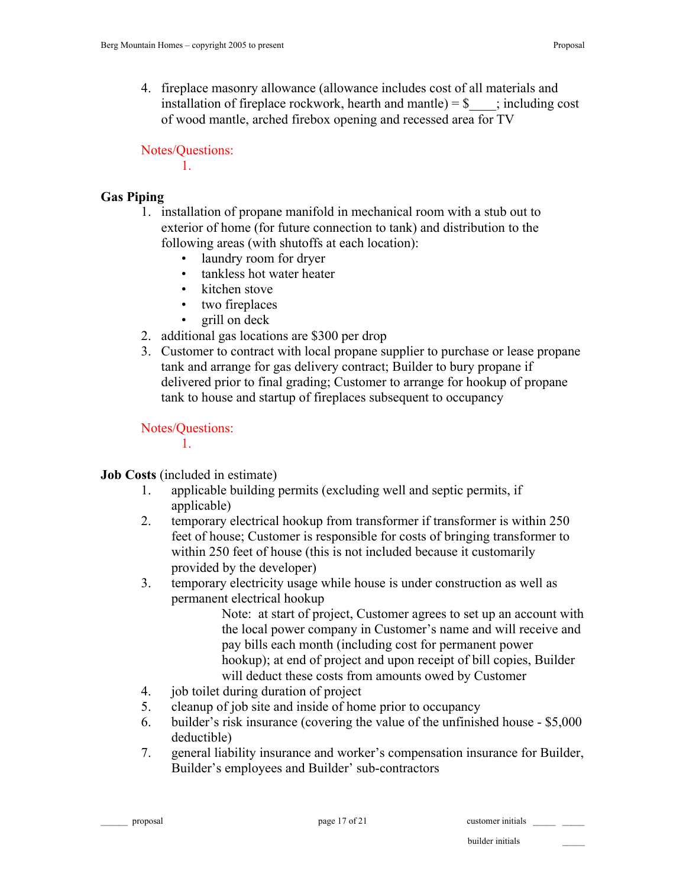Notes/Questions:

1.

## **Gas Piping**

- 1. installation of propane manifold in mechanical room with a stub out to exterior of home (for future connection to tank) and distribution to the following areas (with shutoffs at each location):
	- laundry room for dryer
	- tankless hot water heater
	- kitchen stove
	- two fireplaces
	- grill on deck
- 2. additional gas locations are \$300 per drop
- 3. Customer to contract with local propane supplier to purchase or lease propane tank and arrange for gas delivery contract; Builder to bury propane if delivered prior to final grading; Customer to arrange for hookup of propane tank to house and startup of fireplaces subsequent to occupancy

Notes/Questions:

1.

## **Job Costs** (included in estimate)

- 1. applicable building permits (excluding well and septic permits, if applicable)
- 2. temporary electrical hookup from transformer if transformer is within 250 feet of house; Customer is responsible for costs of bringing transformer to within 250 feet of house (this is not included because it customarily provided by the developer)
- 3. temporary electricity usage while house is under construction as well as permanent electrical hookup

Note: at start of project, Customer agrees to set up an account with the local power company in Customer's name and will receive and pay bills each month (including cost for permanent power hookup); at end of project and upon receipt of bill copies, Builder will deduct these costs from amounts owed by Customer

- 4. job toilet during duration of project
- 5. cleanup of job site and inside of home prior to occupancy
- 6. builder's risk insurance (covering the value of the unfinished house \$5,000 deductible)
- 7. general liability insurance and worker's compensation insurance for Builder, Builder's employees and Builder' sub-contractors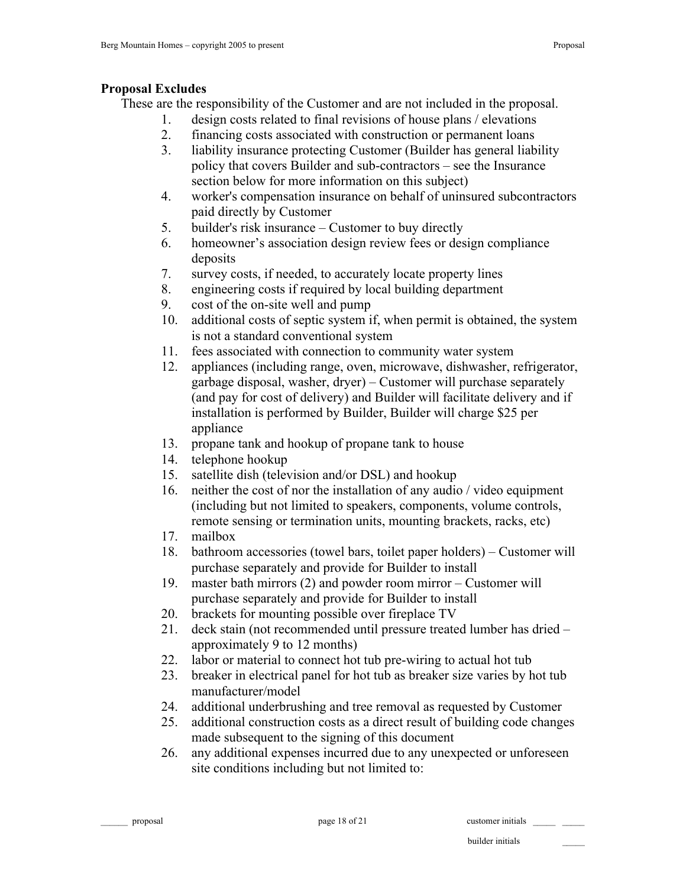### **Proposal Excludes**

These are the responsibility of the Customer and are not included in the proposal.

- 1. design costs related to final revisions of house plans / elevations
- 2. financing costs associated with construction or permanent loans
- 3. liability insurance protecting Customer (Builder has general liability policy that covers Builder and sub-contractors – see the Insurance section below for more information on this subject)
- 4. worker's compensation insurance on behalf of uninsured subcontractors paid directly by Customer
- 5. builder's risk insurance Customer to buy directly
- 6. homeowner's association design review fees or design compliance deposits
- 7. survey costs, if needed, to accurately locate property lines
- 8. engineering costs if required by local building department
- 9. cost of the on-site well and pump
- 10. additional costs of septic system if, when permit is obtained, the system is not a standard conventional system
- 11. fees associated with connection to community water system
- 12. appliances (including range, oven, microwave, dishwasher, refrigerator, garbage disposal, washer, dryer) – Customer will purchase separately (and pay for cost of delivery) and Builder will facilitate delivery and if installation is performed by Builder, Builder will charge \$25 per appliance
- 13. propane tank and hookup of propane tank to house
- 14. telephone hookup
- 15. satellite dish (television and/or DSL) and hookup
- 16. neither the cost of nor the installation of any audio / video equipment (including but not limited to speakers, components, volume controls, remote sensing or termination units, mounting brackets, racks, etc)
- 17. mailbox
- 18. bathroom accessories (towel bars, toilet paper holders) Customer will purchase separately and provide for Builder to install
- 19. master bath mirrors (2) and powder room mirror Customer will purchase separately and provide for Builder to install
- 20. brackets for mounting possible over fireplace TV
- 21. deck stain (not recommended until pressure treated lumber has dried approximately 9 to 12 months)
- 22. labor or material to connect hot tub pre-wiring to actual hot tub
- 23. breaker in electrical panel for hot tub as breaker size varies by hot tub manufacturer/model
- 24. additional underbrushing and tree removal as requested by Customer
- 25. additional construction costs as a direct result of building code changes made subsequent to the signing of this document
- 26. any additional expenses incurred due to any unexpected or unforeseen site conditions including but not limited to:

proposal page 18 of 21 customer initials quality and page 18 of 21 customer initials quality and  $\frac{1}{2}$  customer initials quality and  $\frac{1}{2}$  and  $\frac{1}{2}$  and  $\frac{1}{2}$  and  $\frac{1}{2}$  and  $\frac{1}{2}$  and  $\frac{1}{2}$  and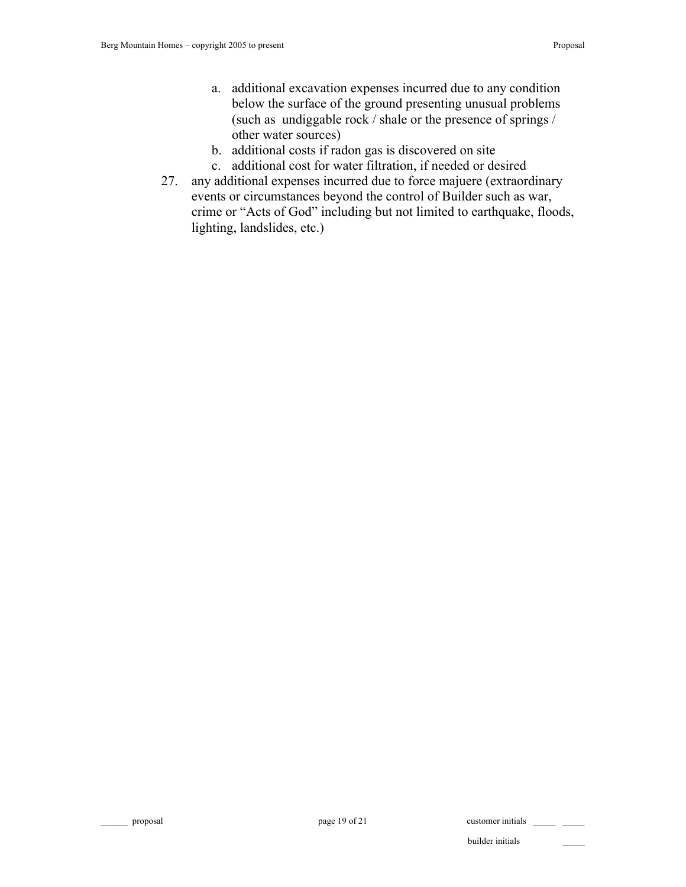- a. additional excavation expenses incurred due to any condition below the surface of the ground presenting unusual problems (such as undiggable rock / shale or the presence of springs / other water sources)
- b. additional costs if radon gas is discovered on site
- c. additional cost for water filtration, if needed or desired
- 27. any additional expenses incurred due to force majuere (extraordinary events or circumstances beyond the control of Builder such as war, crime or "Acts of God" including but not limited to earthquake, floods, lighting, landslides, etc.)

proposal page 19 of 21 customer initials  $\frac{1}{2}$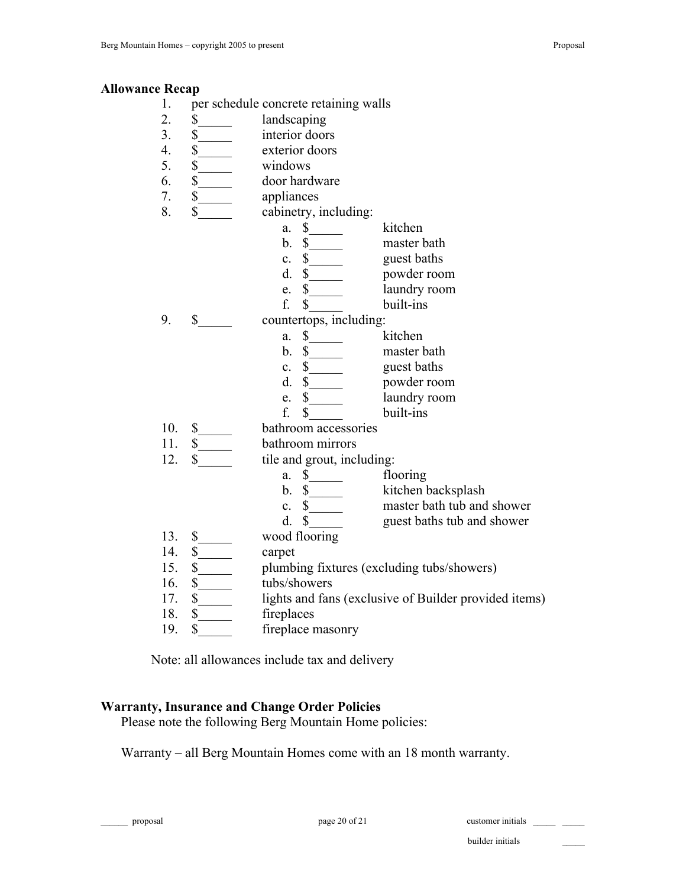#### **Allowance Recap**

- 1. per schedule concrete retaining walls
- 2. \$ landscaping
- 3. \$ interior doors
- 4. \$ exterior doors
- 5. \$\_\_\_\_\_ windows
- 6. \$ door hardware
- 7. \$ appliances
- 8. \$ cabinetry, including:
	- a. \$ kitchen
		- b. \$ master bath
	- c. \$\_\_\_\_\_ guest baths
	- d. \$\_\_\_\_\_ powder room
	- e. \$\_\_\_\_\_ laundry room
	- f. \$ built-ins
- 9. \$ countertops, including:
	- a. \$ kitchen
	- b. \$ master bath
	- c. \$ guest baths
	- d. \$\_\_\_\_\_ powder room
	- e. \$\_\_\_\_\_ laundry room
	- f. \$ built-ins
- 10. \$ bathroom accessories
- 11. \$ bathroom mirrors
- 12. \$ tile and grout, including:
	- a. \$ flooring
	- b. \$  $_k$  kitchen backsplash
	- c. \$ master bath tub and shower
	- d. \$ guest baths tub and shower
- 13. \$ wood flooring
- 14. \$ carpet
- 15. \$\_\_\_\_\_ plumbing fixtures (excluding tubs/showers)
- 16. \$ tubs/showers
- 17. \$ lights and fans (exclusive of Builder provided items)
- 18. \$ fireplaces
- 19. \$ fireplace masonry

Note: all allowances include tax and delivery

#### **Warranty, Insurance and Change Order Policies**

Please note the following Berg Mountain Home policies:

Warranty – all Berg Mountain Homes come with an 18 month warranty.